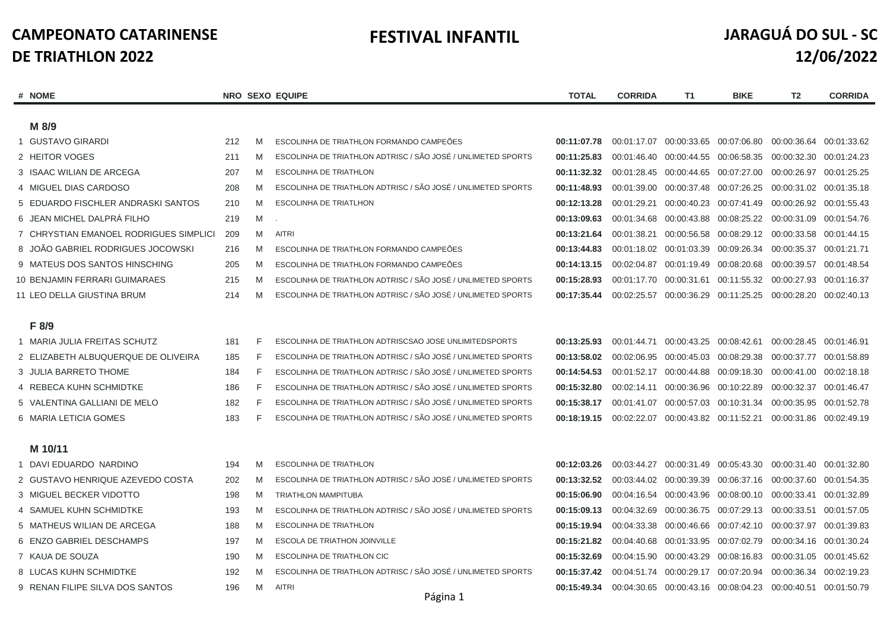# **FESTIVAL INFANTIL JARAGUÁ DO SUL - SC 12/06/2022**

| <b>NOME</b><br>#                       |     |             | <b>NRO SEXO EQUIPE</b>                                       | <b>TOTAL</b> | <b>CORRIDA</b>          | T1                                  | <b>BIKE</b>                                     | T <sub>2</sub>                                                  | <b>CORRIDA</b> |
|----------------------------------------|-----|-------------|--------------------------------------------------------------|--------------|-------------------------|-------------------------------------|-------------------------------------------------|-----------------------------------------------------------------|----------------|
|                                        |     |             |                                                              |              |                         |                                     |                                                 |                                                                 |                |
| M 8/9                                  |     |             |                                                              |              |                         |                                     |                                                 |                                                                 |                |
| 1 GUSTAVO GIRARDI                      | 212 | M           | ESCOLINHA DE TRIATHLON FORMANDO CAMPEÕES                     | 00:11:07.78  |                         | 00:01:17.07 00:00:33.65 00:07:06.80 |                                                 | 00:00:36.64                                                     | 00:01:33.62    |
| 2 HEITOR VOGES                         | 211 | M           | ESCOLINHA DE TRIATHLON ADTRISC / SÃO JOSÉ / UNLIMETED SPORTS | 00:11:25.83  | 00:01:46.40             | 00:00:44.55                         | 00:06:58.35                                     | 00:00:32.30                                                     | 00:01:24.23    |
| 3 ISAAC WILIAN DE ARCEGA               | 207 | M           | <b>ESCOLINHA DE TRIATHLON</b>                                | 00:11:32.32  |                         | 00:01:28.45 00:00:44.65             | 00:07:27.00                                     | 00:00:26.97                                                     | 00:01:25.25    |
| 4 MIGUEL DIAS CARDOSO                  | 208 | M           | ESCOLINHA DE TRIATHLON ADTRISC / SÃO JOSÉ / UNLIMETED SPORTS | 00:11:48.93  |                         | 00:01:39.00 00:00:37.48             | 00:07:26.25                                     | 00:00:31.02 00:01:35.18                                         |                |
| 5 EDUARDO FISCHLER ANDRASKI SANTOS     | 210 | M           | <b>ESCOLINHA DE TRIATLHON</b>                                | 00:12:13.28  | 00:01:29.21             | 00:00:40.23                         | 00:07:41.49                                     | 00:00:26.92 00:01:55.43                                         |                |
| 6 JEAN MICHEL DALPRÁ FILHO             | 219 | M           |                                                              | 00:13:09.63  | 00:01:34.68             | 00:00:43.88                         | 00:08:25.22                                     | 00:00:31.09                                                     | 00:01:54.76    |
| 7 CHRYSTIAN EMANOEL RODRIGUES SIMPLICI | 209 | M           | <b>AITRI</b>                                                 | 00:13:21.64  | 00:01:38.21             | 00:00:56.58                         |                                                 | 00:08:29.12 00:00:33.58                                         | 00:01:44.15    |
| 8 JOÄO GABRIEL RODRIGUES JOCOWSKI      | 216 | M           | ESCOLINHA DE TRIATHLON FORMANDO CAMPEÕES                     | 00:13:44.83  | 00:01:18.02 00:01:03.39 |                                     | 00:09:26.34                                     | 00:00:35.37                                                     | 00:01:21.71    |
| 9 MATEUS DOS SANTOS HINSCHING          | 205 | M           | ESCOLINHA DE TRIATHLON FORMANDO CAMPEÕES                     | 00:14:13.15  | 00:02:04.87             | 00:01:19.49                         | 00:08:20.68                                     | 00:00:39.57                                                     | 00:01:48.54    |
| <b>10 BENJAMIN FERRARI GUIMARAES</b>   | 215 | M           | ESCOLINHA DE TRIATHLON ADTRISC / SÃO JOSÉ / UNLIMETED SPORTS | 00:15:28.93  | 00:01:17.70             | 00:00:31.61                         | 00:11:55.32                                     | 00:00:27.93                                                     | 00:01:16.37    |
| 11 LEO DELLA GIUSTINA BRUM             | 214 | M           | ESCOLINHA DE TRIATHLON ADTRISC / SÃO JOSÉ / UNLIMETED SPORTS | 00:17:35.44  |                         |                                     |                                                 | 00:02:25.57 00:00:36.29 00:11:25.25 00:00:28.20 00:02:40.13     |                |
|                                        |     |             |                                                              |              |                         |                                     |                                                 |                                                                 |                |
| F 8/9                                  |     |             |                                                              |              |                         |                                     |                                                 |                                                                 |                |
| 1 MARIA JULIA FREITAS SCHUTZ           | 181 | F           | ESCOLINHA DE TRIATHLON ADTRISCSAO JOSE UNLIMITEDSPORTS       | 00:13:25.93  | 00:01:44.71             | 00:00:43.25 00:08:42.61             |                                                 | 00:00:28.45 00:01:46.91                                         |                |
| 2 ELIZABETH ALBUQUERQUE DE OLIVEIRA    | 185 | $\mathsf F$ | ESCOLINHA DE TRIATHLON ADTRISC / SÃO JOSÉ / UNLIMETED SPORTS | 00:13:58.02  | 00:02:06.95             | 00:00:45.03                         | 00:08:29.38                                     | 00:00:37.77                                                     | 00:01:58.89    |
| 3 JULIA BARRETO THOME                  | 184 | F           | ESCOLINHA DE TRIATHLON ADTRISC / SÃO JOSÉ / UNLIMETED SPORTS | 00:14:54.53  |                         | 00:01:52.17 00:00:44.88 00:09:18.30 |                                                 | 00:00:41.00 00:02:18.18                                         |                |
| 4 REBECA KUHN SCHMIDTKE                | 186 | F           | ESCOLINHA DE TRIATHLON ADTRISC / SÃO JOSÉ / UNLIMETED SPORTS | 00:15:32.80  | 00:02:14.11             | 00:00:36.96                         | 00:10:22.89                                     | 00:00:32.37                                                     | 00:01:46.47    |
| 5 VALENTINA GALLIANI DE MELO           | 182 | F           | ESCOLINHA DE TRIATHLON ADTRISC / SÃO JOSÉ / UNLIMETED SPORTS | 00:15:38.17  | 00:01:41.07             | 00:00:57.03 00:10:31.34             |                                                 | 00:00:35.95                                                     | 00:01:52.78    |
| 6 MARIA LETICIA GOMES                  | 183 | E           | ESCOLINHA DE TRIATHLON ADTRISC / SÃO JOSÉ / UNLIMETED SPORTS | 00:18:19.15  |                         |                                     |                                                 | 00:02:22.07  00:00:43.82  00:11:52.21  00:00:31.86  00:02:49.19 |                |
|                                        |     |             |                                                              |              |                         |                                     |                                                 |                                                                 |                |
| M 10/11                                |     |             |                                                              |              |                         |                                     |                                                 |                                                                 |                |
| 1 DAVI EDUARDO NARDINO                 | 194 | M           | <b>ESCOLINHA DE TRIATHLON</b>                                | 00:12:03.26  |                         | 00:03:44.27 00:00:31.49             | 00:05:43.30                                     | 00:00:31.40 00:01:32.80                                         |                |
| 2 GUSTAVO HENRIQUE AZEVEDO COSTA       | 202 | M           | ESCOLINHA DE TRIATHLON ADTRISC / SÃO JOSÉ / UNLIMETED SPORTS | 00:13:32.52  | 00:03:44.02 00:00:39.39 |                                     | 00:06:37.16                                     | 00:00:37.60                                                     | 00:01:54.35    |
| 3 MIGUEL BECKER VIDOTTO                | 198 | M           | <b>TRIATHLON MAMPITUBA</b>                                   | 00:15:06.90  |                         | 00:04:16.54 00:00:43.96             |                                                 | 00:08:00.10 00:00:33.41 00:01:32.89                             |                |
| 4 SAMUEL KUHN SCHMIDTKE                | 193 | M           | ESCOLINHA DE TRIATHLON ADTRISC / SÃO JOSÉ / UNLIMETED SPORTS | 00:15:09.13  | 00:04:32.69             | 00:00:36.75                         | 00:07:29.13                                     | 00:00:33.51 00:01:57.05                                         |                |
| 5 MATHEUS WILIAN DE ARCEGA             | 188 | M           | <b>ESCOLINHA DE TRIATHLON</b>                                | 00:15:19.94  | 00:04:33.38             | 00:00:46.66                         | 00:07:42.10                                     | 00:00:37.97                                                     | 00:01:39.83    |
| 6 ENZO GABRIEL DESCHAMPS               | 197 | M           | <b>ESCOLA DE TRIATHON JOINVILLE</b>                          | 00:15:21.82  | 00:04:40.68             | 00:01:33.95                         | 00:07:02.79                                     | 00:00:34.16                                                     | 00:01:30.24    |
| 7 KAUA DE SOUZA                        | 190 | M           | ESCOLINHA DE TRIATHLON CIC                                   | 00:15:32.69  |                         | 00:04:15.90 00:00:43.29             | 00:08:16.83                                     | 00:00:31.05 00:01:45.62                                         |                |
| 8 LUCAS KUHN SCHMIDTKE                 | 192 | M           | ESCOLINHA DE TRIATHLON ADTRISC / SÃO JOSÉ / UNLIMETED SPORTS | 00:15:37.42  | 00:04:51.74             | 00:00:29.17                         | 00:07:20.94                                     | 00:00:36.34                                                     | 00:02:19.23    |
| 9 RENAN FILIPE SILVA DOS SANTOS        | 196 | M           | <b>AITRI</b>                                                 | 00:15:49.34  |                         |                                     | 00:04:30.65 00:00:43.16 00:08:04.23 00:00:40.51 |                                                                 | 00:01:50.79    |
|                                        |     |             | $ \cdot$ $-$                                                 |              |                         |                                     |                                                 |                                                                 |                |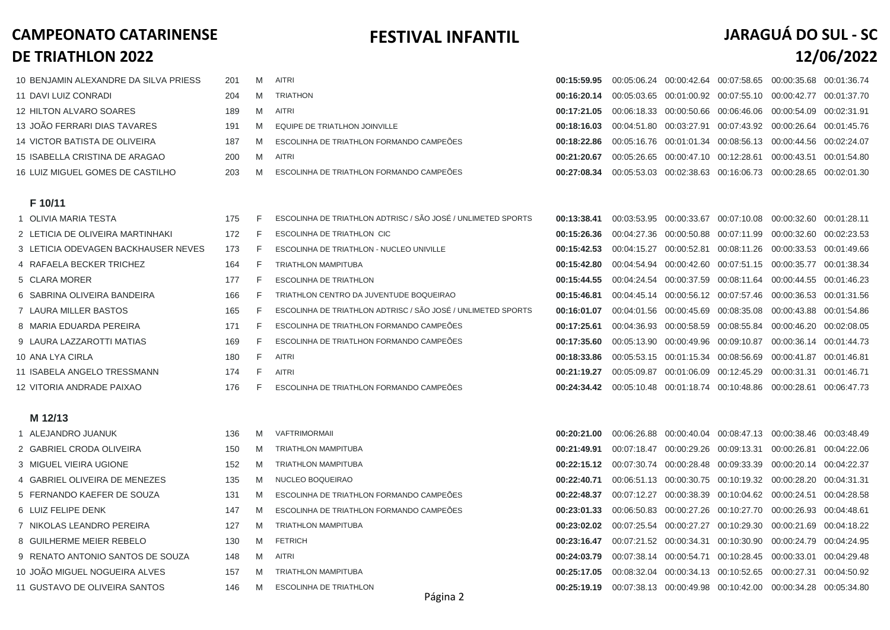## **FESTIVAL INFANTIL JARAGUÁ DO SUL - SC 12/06/2022**

| 10 BENJAMIN ALEXANDRE DA SILVA PRIESS | 201 | M        | AITRI                                    |             |  | 00:15:59.95  00:05:06.24  00:00:42.64  00:07:58.65  00:00:35.68  00:01:36.74 |  |
|---------------------------------------|-----|----------|------------------------------------------|-------------|--|------------------------------------------------------------------------------|--|
| 11 DAVI LUIZ CONRADI                  |     | M        | TRIATHON                                 | 00:16:20.14 |  | 00:05:03.65  00:01:00.92  00:07:55.10  00:00:42.77  00:01:37.70              |  |
| 12 HILTON ALVARO SOARES               |     | M        | AITRI                                    |             |  | 00:17:21.05 00:06:18.33 00:00:50.66 00:06:46.06 00:00:54.09 00:02:31.91      |  |
| 13 JOÃO FERRARI DIAS TAVARES          | 191 | - M      | EQUIPE DE TRIATLHON JOINVILLE            |             |  | 00:18:16.03  00:04:51.80  00:03:27.91  00:07:43.92  00:00:26.64  00:01:45.76 |  |
| 14 VICTOR BATISTA DE OLIVEIRA         | 187 | <b>M</b> | ESCOLINHA DE TRIATHLON FORMANDO CAMPEÕES |             |  | 00:18:22.86 00:05:16.76 00:01:01.34 00:08:56.13 00:00:44.56 00:02:24.07      |  |
| 15 ISABELLA CRISTINA DE ARAGAO        | 200 | <b>M</b> | AITRI                                    | 00:21:20.67 |  | 00:05:26.65  00:00:47.10  00:12:28.61  00:00:43.51  00:01:54.80              |  |
| 16 LUIZ MIGUEL GOMES DE CASTILHO      | 203 | M        | ESCOLINHA DE TRIATHLON FORMANDO CAMPEÕES | 00:27:08.34 |  | 00:05:53.03  00:02:38.63  00:16:06.73  00:00:28.65  00:02:01.30              |  |

#### **F 10/11**

| 1 OLIVIA MARIA TESTA              |
|-----------------------------------|
| 2 LETICIA DE OLIVEIRA MARTINHAKI  |
| 3 LETICIA ODEVAGEN BACKHAUSER NEV |
| 4 RAFAELA BECKER TRICHEZ          |
| 5 CLARA MORFR                     |
| 6 SABRINA OI IVEIRA BANDEIRA      |
| 7 LAURA MILLER BASTOS             |
| 8 MARIA EDUARDA PEREIRA           |
| 9 LAURA LAZZAROTTI MATIAS         |
| 10 ANA I YA CIRI A                |
| 11 ISABELA ANGELO TRESSMANN       |
| 12 VITORIA ANDRADE PAIXAO         |

|     | 175 |   | ESCOLINHA DE TRIATHLON ADTRISC / SÃO JOSÉ / UNLIMETED SPORTS | 00:13:38.41 |             |                                       | 00:03:53.95 00:00:33.67 00:07:10.08                         | 00:00:32.60 00:01:28.11 |             |
|-----|-----|---|--------------------------------------------------------------|-------------|-------------|---------------------------------------|-------------------------------------------------------------|-------------------------|-------------|
|     | 172 |   | ESCOLINHA DE TRIATHLON CIC                                   | 00:15:26.36 |             |                                       | 00:04:27.36 00:00:50.88 00:07:11.99 00:00:32.60 00:02:23.53 |                         |             |
| VES | 173 |   | ESCOLINHA DE TRIATHLON - NUCLEO UNIVILLE                     | 00:15:42.53 | 00:04:15.27 |                                       |                                                             |                         | 00:01:49.66 |
|     | 164 |   | <b>TRIATHLON MAMPITUBA</b>                                   | 00:15:42.80 | 00:04:54.94 |                                       | 00:00:42.60 00:07:51.15 00:00:35.77                         |                         | 00:01:38.34 |
|     | 177 | F | ESCOLINHA DE TRIATHLON                                       | 00:15:44.55 |             |                                       | 00:04:24.54 00:00:37.59 00:08:11.64 00:00:44.55             |                         | 00:01:46.23 |
|     | 166 |   | TRIATHLON CENTRO DA JUVENTUDE BOQUEIRAO                      | 00:15:46.81 |             |                                       | 00:04:45.14 00:00:56.12 00:07:57.46 00:00:36.53             |                         | 00:01:31.56 |
|     | 165 | F | ESCOLINHA DE TRIATHLON ADTRISC / SÃO JOSÉ / UNLIMETED SPORTS | 00:16:01.07 |             |                                       | 00:04:01.56 00:00:45.69 00:08:35.08                         | 00:00:43.88             | 00:01:54.86 |
|     | 171 | F | ESCOLINHA DE TRIATHLON FORMANDO CAMPEÕES                     | 00:17:25.61 |             |                                       | 00:04:36.93 00:00:58.59 00:08:55.84                         | 00:00:46.20             | 00:02:08.05 |
|     | 169 |   | ESCOLINHA DE TRIATLHON FORMANDO CAMPEÕES                     | 00:17:35.60 |             | 00:05:13.90 00:00:49.96 00:09:10.87   |                                                             | 00:00:36.14 00:01:44.73 |             |
|     | 180 | F | <b>AITRI</b>                                                 | 00:18:33.86 |             | 00:05:53.15  00:01:15.34  00:08:56.69 |                                                             | 00:00:41.87             | 00:01:46.81 |
|     | 174 | F | <b>AITRI</b>                                                 | 00:21:19.27 | 00:05:09.87 | 00:01:06.09 00:12:45.29               |                                                             | 00:00:31.31             | 00:01:46.71 |
|     | 176 |   | ESCOLINHA DE TRIATHLON FORMANDO CAMPEÕES                     | 00:24:34.42 |             |                                       | 00:05:10.48  00:01:18.74  00:10:48.86  00:00:28.61          |                         | 00:06:47.73 |

#### **M 12/13**

| 1 ALEJANDRO JUANUK               | 136 | M | <b>VAFTRIMORMAII</b>          |
|----------------------------------|-----|---|-------------------------------|
| 2 GABRIEL CRODA OLIVEIRA         | 150 | M | <b>TRIATHLON MAMPITUBA</b>    |
| 3 MIGUEL VIEIRA UGIONE           | 152 | M | <b>TRIATHLON MAMPITUBA</b>    |
| 4 GABRIEL OLIVEIRA DE MENEZES    | 135 | M | NUCLEO BOQUEIRAO              |
| 5 FERNANDO KAEFER DE SOUZA       | 131 | M | <b>ESCOLINHA DE TRIATHLON</b> |
| 6 LUIZ FELIPE DENK               | 147 | M | <b>ESCOLINHA DE TRIATHLON</b> |
| 7 NIKOLAS LEANDRO PEREIRA        | 127 | M | <b>TRIATHLON MAMPITUBA</b>    |
| 8 GUILHERME MEIER REBELO         | 130 | M | <b>FETRICH</b>                |
| 9 RENATO ANTONIO SANTOS DE SOUZA | 148 | M | <b>AITRI</b>                  |
| 10 JOÃO MIGUEL NOGUEIRA ALVES    | 157 | M | <b>TRIATHLON MAMPITUBA</b>    |
| 11 GUSTAVO DE OLIVEIRA SANTOS    | 146 | M | <b>ESCOLINHA DE TRIATHLON</b> |

| 1 ALEJANDRO JUANUK               | 136  | M | VAFTRIMORMAII                            |                                                                              | 00:20:21.00 00:06:26.88 00:00:40.04 00:08:47.13 00:00:38.46 00:03:48.49      |  |  |
|----------------------------------|------|---|------------------------------------------|------------------------------------------------------------------------------|------------------------------------------------------------------------------|--|--|
| 2 GABRIEL CRODA OLIVEIRA         | 150  | M | <b>TRIATHLON MAMPITUBA</b>               | 00:21:49.91  00:07:18.47  00:00:29.26  00:09:13.31  00:00:26.81  00:04:22.06 |                                                                              |  |  |
| 3 MIGUEL VIEIRA UGIONE           | 152  | M | <b>TRIATHLON MAMPITUBA</b>               | 00:22:15.12 00:07:30.74 00:00:28.48 00:09:33.39 00:00:20.14 00:04:22.37      |                                                                              |  |  |
| 4 GABRIEL OLIVEIRA DE MENEZES    | 135. | M | NUCLEO BOQUEIRAO                         | 00:22:40.71  00:06:51.13  00:00:30.75  00:10:19.32  00:00:28.20  00:04:31.31 |                                                                              |  |  |
| 5 FERNANDO KAEFER DE SOUZA       | 131  | M | ESCOLINHA DE TRIATHLON FORMANDO CAMPEÕES | 00:22:48.37 00:07:12.27 00:00:38.39 00:10:04.62 00:00:24.51 00:04:28.58      |                                                                              |  |  |
| 6 LUIZ FELIPE DENK               | 147  | M | ESCOLINHA DE TRIATHLON FORMANDO CAMPEÕES | 00:23:01.33 00:06:50.83 00:00:27.26 00:10:27.70 00:00:26.93 00:04:48.61      |                                                                              |  |  |
| 7 NIKOLAS LEANDRO PEREIRA        | 127  | M | <b>TRIATHLON MAMPITUBA</b>               | 00:23:02.02  00:07:25.54  00:00:27.27  00:10:29.30  00:00:21.69  00:04:18.22 |                                                                              |  |  |
| 8 GUILHERME MEIER REBELO         | 130  | M | <b>FETRICH</b>                           | 00:23:16.47 00:07:21.52 00:00:34.31 00:10:30.90 00:00:24.79 00:04:24.95      |                                                                              |  |  |
| 9 RENATO ANTONIO SANTOS DE SOUZA | 148  | M | <b>AITRI</b>                             | 00:24:03.79  00:07:38.14  00:00:54.71  00:10:28.45  00:00:33.01  00:04:29.48 |                                                                              |  |  |
| 10 JOÃO MIGUEL NOGUEIRA ALVES    | 157  | M | <b>TRIATHLON MAMPITUBA</b>               | 00:25:17.05 00:08:32.04 00:00:34.13 00:10:52.65 00:00:27.31 00:04:50.92      |                                                                              |  |  |
| 11 GUSTAVO DE OLIVEIRA SANTOS    | 146  | M | <b>ESCOLINHA DE TRIATHLON</b>            |                                                                              | 00:25:19.19  00:07:38.13  00:00:49.98  00:10:42.00  00:00:34.28  00:05:34.80 |  |  |

Página 2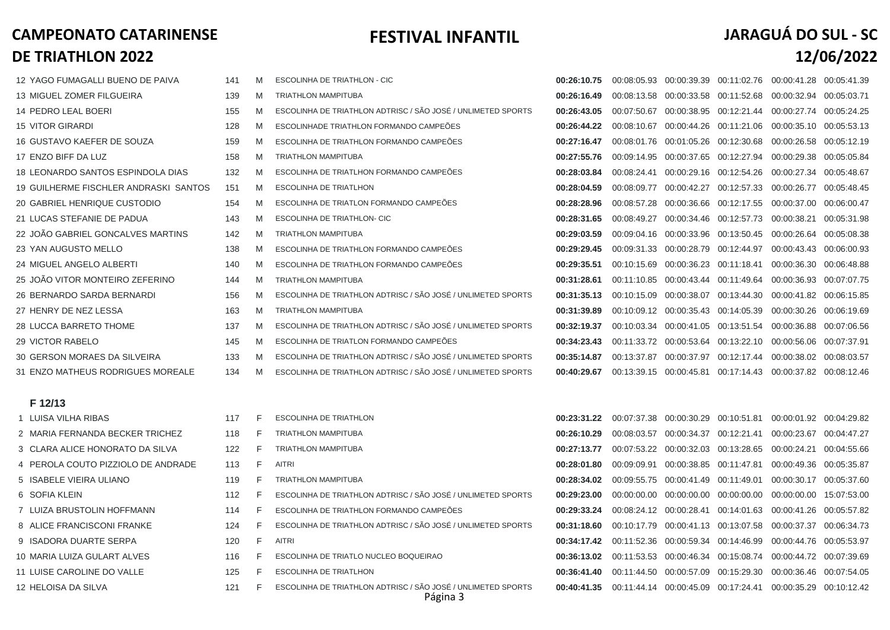### **FESTIVAL INFANTIL**

| JARAGUÁ DO SUL - SC |            |  |
|---------------------|------------|--|
|                     | 12/06/2022 |  |

| 12 YAGO FUMAGALLI BUENO DE PAIVA             | 141 | M | <b>ESCOLINHA DE TRIATHLON - CIC</b>                          | 00:26:10.75 | 00:08:05.93  00:00:39.39  00:11:02.76  00:00:41.28  00:05:41.39 |  |  |
|----------------------------------------------|-----|---|--------------------------------------------------------------|-------------|-----------------------------------------------------------------|--|--|
| <b>13 MIGUEL ZOMER FILGUEIRA</b>             | 139 | M | <b>TRIATHLON MAMPITUBA</b>                                   | 00:26:16.49 | 00:08:13.58  00:00:33.58  00:11:52.68  00:00:32.94  00:05:03.71 |  |  |
| <b>14 PEDRO LEAL BOERI</b>                   | 155 | M | ESCOLINHA DE TRIATHLON ADTRISC / SÃO JOSÉ / UNLIMETED SPORTS | 00:26:43.05 | 00:07:50.67  00:00:38.95  00:12:21.44  00:00:27.74  00:05:24.25 |  |  |
| 15 VITOR GIRARDI                             | 128 | M | ESCOLINHADE TRIATHLON FORMANDO CAMPEÕES                      | 00:26:44.22 | 00:08:10.67  00:00:44.26  00:11:21.06  00:00:35.10  00:05:53.13 |  |  |
| 16 GUSTAVO KAEFER DE SOUZA                   | 159 | M | ESCOLINHA DE TRIATHLON FORMANDO CAMPEÕES                     | 00:27:16.47 | 00:08:01.76  00:01:05.26  00:12:30.68  00:00:26.58  00:05:12.19 |  |  |
| 17 ENZO BIFF DA LUZ                          | 158 | M | <b>TRIATHLON MAMPITUBA</b>                                   | 00:27:55.76 | 00:09:14.95  00:00:37.65  00:12:27.94  00:00:29.38  00:05:05.84 |  |  |
| 18 LEONARDO SANTOS ESPINDOLA DIAS            | 132 | M | ESCOLINHA DE TRIATLHON FORMANDO CAMPEÕES                     | 00:28:03.84 | 00:08:24.41  00:00:29.16  00:12:54.26  00:00:27.34  00:05:48.67 |  |  |
| <b>19 GUILHERME FISCHLER ANDRASKI SANTOS</b> | 151 | M | <b>ESCOLINHA DE TRIATLHON</b>                                | 00:28:04.59 | 00:08:09.77  00:00:42.27  00:12:57.33  00:00:26.77  00:05:48.45 |  |  |
| 20 GABRIEL HENRIQUE CUSTODIO                 | 154 | M | ESCOLINHA DE TRIATLON FORMANDO CAMPEÕES                      | 00:28:28.96 | 00:08:57.28 00:00:36.66 00:12:17.55 00:00:37.00 00:06:00.47     |  |  |
| 21 LUCAS STEFANIE DE PADUA                   | 143 | M | <b>ESCOLINHA DE TRIATHLON- CIC</b>                           | 00:28:31.65 | 00:08:49.27  00:00:34.46  00:12:57.73  00:00:38.21  00:05:31.98 |  |  |
| 22 JOÃO GABRIEL GONCALVES MARTINS            | 142 | M | <b>TRIATHLON MAMPITUBA</b>                                   | 00:29:03.59 | 00:09:04.16  00:00:33.96  00:13:50.45  00:00:26.64  00:05:08.38 |  |  |
| 23 YAN AUGUSTO MELLO                         | 138 | M | ESCOLINHA DE TRIATHLON FORMANDO CAMPEÕES                     | 00:29:29.45 | 00:09:31.33  00:00:28.79  00:12:44.97  00:00:43.43  00:06:00.93 |  |  |
| 24 MIGUEL ANGELO ALBERTI                     | 140 | M | ESCOLINHA DE TRIATHLON FORMANDO CAMPEÕES                     | 00:29:35.51 | 00:10:15.69  00:00:36.23  00:11:18.41  00:00:36.30  00:06:48.88 |  |  |
| 25 JOÃO VITOR MONTEIRO ZEFERINO              | 144 | M | <b>TRIATHLON MAMPITUBA</b>                                   | 00:31:28.61 | 00:11:10.85  00:00:43.44  00:11:49.64  00:00:36.93  00:07:07.75 |  |  |
| 26 BERNARDO SARDA BERNARDI                   | 156 | M | ESCOLINHA DE TRIATHLON ADTRISC / SÃO JOSÉ / UNLIMETED SPORTS | 00:31:35.13 | 00:10:15.09  00:00:38.07  00:13:44.30  00:00:41.82  00:06:15.85 |  |  |
| 27 HENRY DE NEZ LESSA                        | 163 | M | <b>TRIATHLON MAMPITUBA</b>                                   | 00:31:39.89 | 00:10:09.12  00:00:35.43  00:14:05.39  00:00:30.26  00:06:19.69 |  |  |
| 28 LUCCA BARRETO THOME                       | 137 | M | ESCOLINHA DE TRIATHLON ADTRISC / SÃO JOSÉ / UNLIMETED SPORTS | 00:32:19.37 | 00:10:03.34  00:00:41.05  00:13:51.54  00:00:36.88  00:07:06.56 |  |  |
| <b>29 VICTOR RABELO</b>                      | 145 | M | ESCOLINHA DE TRIATLON FORMANDO CAMPEÕES                      | 00:34:23.43 | 00:11:33.72 00:00:53.64 00:13:22.10 00:00:56.06 00:07:37.91     |  |  |
| 30 GERSON MORAES DA SILVEIRA                 | 133 | M | ESCOLINHA DE TRIATHLON ADTRISC / SÃO JOSÉ / UNLIMETED SPORTS | 00:35:14.87 | 00:13:37.87  00:00:37.97  00:12:17.44  00:00:38.02  00:08:03.57 |  |  |
| 31 ENZO MATHEUS RODRIGUES MOREALE            | 134 | M | ESCOLINHA DE TRIATHLON ADTRISC / SÃO JOSÉ / UNLIMETED SPORTS | 00:40:29.67 | 00:13:39.15  00:00:45.81  00:17:14.43  00:00:37.82  00:08:12.46 |  |  |
| F 12/13                                      |     |   |                                                              |             |                                                                 |  |  |
|                                              |     |   |                                                              |             |                                                                 |  |  |

| 1 LUISA VILHA RIBAS                | 117 | F. | <b>ESCOLINHA DE TRIATHLON</b>                                            |             | 00:23:31.22  00:07:37.38  00:00:30.29  00:10:51.81  00:00:01.92  00:04:29.82          |  |                                                                 |  |
|------------------------------------|-----|----|--------------------------------------------------------------------------|-------------|---------------------------------------------------------------------------------------|--|-----------------------------------------------------------------|--|
| 2 MARIA FERNANDA BECKER TRICHEZ    | 118 | E. | <b>TRIATHLON MAMPITUBA</b>                                               | 00:26:10.29 |                                                                                       |  | 00:08:03.57  00:00:34.37  00:12:21.41  00:00:23.67  00:04:47.27 |  |
| 3 CLARA ALICE HONORATO DA SILVA    | 122 | F. | <b>TRIATHLON MAMPITUBA</b>                                               | 00:27:13.77 |                                                                                       |  | 00:07:53.22  00:00:32.03  00:13:28.65  00:00:24.21  00:04:55.66 |  |
| 4 PEROLA COUTO PIZZIOLO DE ANDRADE | 113 | F. | <b>AITRI</b>                                                             |             | 00:28:01.80  00:09:09.91  00:00:38.85  00:11:47.81  00:00:49.36  00:05:35.87          |  |                                                                 |  |
| 5 ISABELE VIEIRA ULIANO            | 119 | F. | <b>TRIATHLON MAMPITUBA</b>                                               |             | 00:28:34.02  00:09:55.75  00:00:41.49  00:11:49.01  00:00:30.17  00:05:37.60          |  |                                                                 |  |
| 6 SOFIA KLEIN                      | 112 | F. | ESCOLINHA DE TRIATHLON ADTRISC / SÃO JOSÉ / UNLIMETED SPORTS             |             | $0.29:23.00$ $00:00:00.00$ $00:00:00.00$ $00:00:00.00$ $00:00:00:00.00$ $15:07:53.00$ |  |                                                                 |  |
| 7 LUIZA BRUSTOLIN HOFFMANN         | 114 | F. | ESCOLINHA DE TRIATHLON FORMANDO CAMPEÕES                                 |             | 00:29:33.24  00:08:24.12  00:00:28.41  00:14:01.63  00:00:41.26  00:05:57.82          |  |                                                                 |  |
| 8 ALICE FRANCISCONI FRANKE         | 124 | F. | ESCOLINHA DE TRIATHLON ADTRISC / SÃO JOSÉ / UNLIMETED SPORTS             |             | 00:31:18.60 00:10:17.79 00:00:41.13 00:13:07.58 00:00:37.37 00:06:34.73               |  |                                                                 |  |
| 9 ISADORA DUARTE SERPA             | 120 | F. | <b>AITRI</b>                                                             |             | 00:34:17.42  00:11:52.36  00:00:59.34  00:14:46.99  00:00:44.76  00:05:53.97          |  |                                                                 |  |
| 10 MARIA LUIZA GULART ALVES        | 116 | E. | ESCOLINHA DE TRIATLO NUCLEO BOQUEIRAO                                    |             | 00:36:13.02  00:11:53.53  00:00:46.34  00:15:08.74  00:00:44.72  00:07:39.69          |  |                                                                 |  |
| 11 LUISE CAROLINE DO VALLE         | 125 | F. | <b>ESCOLINHA DE TRIATLHON</b>                                            |             | 00:36:41.40  00:11:44.50  00:00:57.09  00:15:29.30  00:00:36.46  00:07:54.05          |  |                                                                 |  |
| <b>12 HELOISA DA SILVA</b>         | 121 | F. | ESCOLINHA DE TRIATHLON ADTRISC / SÃO JOSÉ / UNLIMETED SPORTS<br>Página 3 |             | 00:40:41.35 00:11:44.14 00:00:45.09 00:17:24.41 00:00:35.29 00:10:12.42               |  |                                                                 |  |

| 00:26:10.75 | 00:08:05.93 | 00:00:39.39 | 00:11:02.76 | 00:00:41.28 | 00:05:41.39 |
|-------------|-------------|-------------|-------------|-------------|-------------|
| 00:26:16.49 | 00:08:13.58 | 00:00:33.58 | 00:11:52.68 | 00:00:32.94 | 00:05:03.71 |
| 00:26:43.05 | 00:07:50.67 | 00:00:38.95 | 00:12:21.44 | 00:00:27.74 | 00:05:24.25 |
| 00:26:44.22 | 00:08:10.67 | 00:00:44.26 | 00:11:21.06 | 00:00:35.10 | 00:05:53.13 |
| 00:27:16.47 | 00:08:01.76 | 00:01:05.26 | 00:12:30.68 | 00:00:26.58 | 00:05:12.19 |
| 00:27:55.76 | 00:09:14.95 | 00:00:37.65 | 00:12:27.94 | 00:00:29.38 | 00:05:05.84 |
| 00:28:03.84 | 00:08:24.41 | 00:00:29.16 | 00:12:54.26 | 00:00:27.34 | 00:05:48.67 |
| 00:28:04.59 | 00:08:09.77 | 00:00:42.27 | 00:12:57.33 | 00:00:26.77 | 00:05:48.45 |
| 00:28:28.96 | 00:08:57.28 | 00:00:36.66 | 00:12:17.55 | 00:00:37.00 | 00:06:00.47 |
| 00:28:31.65 | 00:08:49.27 | 00:00:34.46 | 00:12:57.73 | 00:00:38.21 | 00:05:31.98 |
| 00:29:03.59 | 00:09:04.16 | 00:00:33.96 | 00:13:50.45 | 00:00:26.64 | 00:05:08.38 |
| 00:29:29.45 | 00:09:31.33 | 00:00:28.79 | 00:12:44.97 | 00:00:43.43 | 00:06:00.93 |
| 00:29:35.51 | 00:10:15.69 | 00:00:36.23 | 00:11:18.41 | 00:00:36.30 | 00:06:48.88 |
| 00:31:28.61 | 00:11:10.85 | 00:00:43.44 | 00:11:49.64 | 00:00:36.93 | 00:07:07.75 |
| 00:31:35.13 | 00:10:15.09 | 00:00:38.07 | 00:13:44.30 | 00:00:41.82 | 00:06:15.85 |
| 00:31:39.89 | 00:10:09.12 | 00:00:35.43 | 00:14:05.39 | 00:00:30.26 | 00:06:19.69 |
| 00:32:19.37 | 00:10:03.34 | 00:00:41.05 | 00:13:51.54 | 00:00:36.88 | 00:07:06.56 |
| 00:34:23.43 | 00:11:33.72 | 00:00:53.64 | 00:13:22.10 | 00:00:56.06 | 00:07:37.91 |
| 00:35:14.87 | 00:13:37.87 | 00:00:37.97 | 00:12:17.44 | 00:00:38.02 | 00:08:03.57 |
| 00:40:29.67 | 00:13:39.15 | 00:00:45.81 | 00:17:14.43 | 00:00:37.82 | 00:08:12.46 |
|             |             |             |             |             |             |

| 00:07:37.38 | 00:00:30.29 | 00:10:51.81 | 00:00:01.92                                                                                                                                                                                                                            | 00:04:29.82                                                                                     |
|-------------|-------------|-------------|----------------------------------------------------------------------------------------------------------------------------------------------------------------------------------------------------------------------------------------|-------------------------------------------------------------------------------------------------|
| 00:08:03.57 |             |             |                                                                                                                                                                                                                                        | 00:04:47.27                                                                                     |
| 00:07:53.22 |             |             | 00:00:24.21                                                                                                                                                                                                                            | 00:04:55.66                                                                                     |
| 00:09:09.91 |             |             | 00:00:49.36                                                                                                                                                                                                                            | 00:05:35.87                                                                                     |
| 00:09:55.75 | 00:00:41.49 |             | 00:00:30.17                                                                                                                                                                                                                            | 00:05:37.60                                                                                     |
| 00:00:00.00 | 00:00:00.00 | 00:00:00.00 |                                                                                                                                                                                                                                        | 15:07:53.00                                                                                     |
| 00:08:24.12 |             | 00:14:01.63 | 00:00:41.26                                                                                                                                                                                                                            | 00:05:57.82                                                                                     |
| 00:10:17.79 |             |             |                                                                                                                                                                                                                                        | 00:06:34.73                                                                                     |
| 00:11:52.36 |             |             |                                                                                                                                                                                                                                        |                                                                                                 |
| 00:11:53.53 |             |             |                                                                                                                                                                                                                                        |                                                                                                 |
| 00:11:44.50 |             | 00:15:29.30 | 00:00:36.46                                                                                                                                                                                                                            | 00:07:54.05                                                                                     |
| 00:11:44:14 |             |             | 00:00:35.29                                                                                                                                                                                                                            | 00:10:12.42                                                                                     |
|             |             |             | 00:00:34.37 00:12:21.41<br>00:00:32.03 00:13:28.65<br>00:00:38.85 00:11:47.81<br>00:11:49.01<br>00:00:28.41<br>00:00:41.13 00:13:07.58<br>00:00:59.34 00:14:46.99<br>00:00:46.34 00:15:08.74<br>00:00:57.09<br>00:00:45.09 00:17:24.41 | 00:00:23.67<br>00:00:00.00<br>00:00:37.37<br>00:00:44.76 00:05:53.97<br>00:00:44.72 00:07:39.69 |